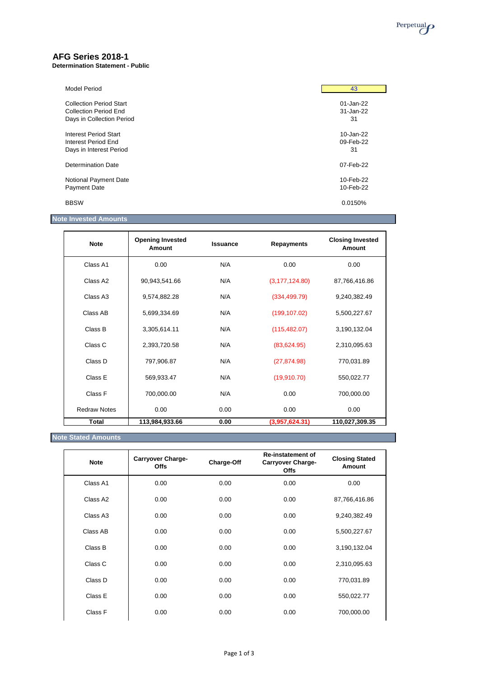

## **AFG Series 2018-1**

#### **Determination Statement - Public**

| <b>Model Period</b>            | 43        |
|--------------------------------|-----------|
| <b>Collection Period Start</b> | 01-Jan-22 |
| <b>Collection Period End</b>   | 31-Jan-22 |
| Days in Collection Period      | 31        |
| Interest Period Start          | 10-Jan-22 |
| Interest Period End            | 09-Feb-22 |
| Days in Interest Period        | 31        |
| Determination Date             | 07-Feb-22 |
| Notional Payment Date          | 10-Feb-22 |
| <b>Payment Date</b>            | 10-Feb-22 |
| <b>BBSW</b>                    | 0.0150%   |

### **Note Invested Amounts**

| <b>Note</b>          | <b>Opening Invested</b><br>Amount | <b>Issuance</b> | <b>Repayments</b> | <b>Closing Invested</b><br>Amount |
|----------------------|-----------------------------------|-----------------|-------------------|-----------------------------------|
| Class A1             | 0.00                              | N/A             | 0.00              | 0.00                              |
| Class A2             | 90,943,541.66                     | N/A             | (3, 177, 124.80)  | 87,766,416.86                     |
| Class A <sub>3</sub> | 9,574,882.28                      | N/A             | (334, 499.79)     | 9,240,382.49                      |
| Class AB             | 5,699,334.69                      | N/A             | (199, 107.02)     | 5,500,227.67                      |
| Class B              | 3,305,614.11                      | N/A             | (115, 482.07)     | 3,190,132.04                      |
| Class C              | 2,393,720.58                      | N/A             | (83,624.95)       | 2,310,095.63                      |
| Class D              | 797,906.87                        | N/A             | (27, 874.98)      | 770,031.89                        |
| Class E              | 569,933.47                        | N/A             | (19,910.70)       | 550,022.77                        |
| Class F              | 700,000.00                        | N/A             | 0.00              | 700,000.00                        |
| <b>Redraw Notes</b>  | 0.00                              | 0.00            | 0.00              | 0.00                              |
| <b>Total</b>         | 113,984,933.66                    | 0.00            | (3,957,624.31)    | 110,027,309.35                    |

### **Note Stated Amounts**

| <b>Note</b> | <b>Carryover Charge-</b><br><b>Offs</b> | Charge-Off | <b>Re-instatement of</b><br><b>Carryover Charge-</b><br><b>Offs</b> | <b>Closing Stated</b><br>Amount |
|-------------|-----------------------------------------|------------|---------------------------------------------------------------------|---------------------------------|
| Class A1    | 0.00                                    | 0.00       | 0.00                                                                | 0.00                            |
| Class A2    | 0.00                                    | 0.00       | 0.00                                                                | 87,766,416.86                   |
| Class A3    | 0.00                                    | 0.00       | 0.00                                                                | 9,240,382.49                    |
| Class AB    | 0.00                                    | 0.00       | 0.00                                                                | 5,500,227.67                    |
| Class B     | 0.00                                    | 0.00       | 0.00                                                                | 3,190,132.04                    |
| Class C     | 0.00                                    | 0.00       | 0.00                                                                | 2,310,095.63                    |
| Class D     | 0.00                                    | 0.00       | 0.00                                                                | 770,031.89                      |
| Class E     | 0.00                                    | 0.00       | 0.00                                                                | 550,022.77                      |
| Class F     | 0.00                                    | 0.00       | 0.00                                                                | 700,000.00                      |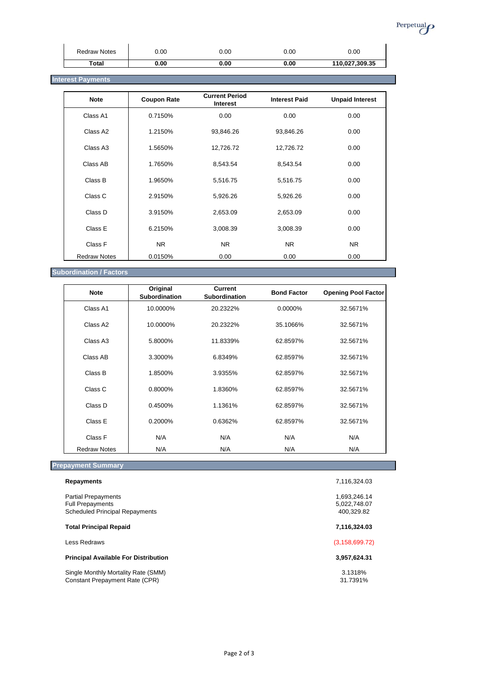

| <b>Redraw Notes</b> | 0.00 | 0.00 | 0.00 | 0.00           |
|---------------------|------|------|------|----------------|
| Total               | 0.00 | 0.00 | 0.00 | 110,027,309.35 |

### **Interest Payments** *Interest Payments*

| <b>Note</b>         | <b>Coupon Rate</b> | <b>Current Period</b><br>Interest | <b>Interest Paid</b> | <b>Unpaid Interest</b> |
|---------------------|--------------------|-----------------------------------|----------------------|------------------------|
| Class A1            | 0.7150%            | 0.00                              | 0.00                 | 0.00                   |
| Class A2            | 1.2150%            | 93,846.26                         | 93,846.26            | 0.00                   |
| Class A3            | 1.5650%            | 12,726.72                         | 12,726.72            | 0.00                   |
| Class AB            | 1.7650%            | 8,543.54                          | 8,543.54             | 0.00                   |
| Class B             | 1.9650%            | 5,516.75                          | 5,516.75             | 0.00                   |
| Class C             | 2.9150%            | 5,926.26                          | 5,926.26             | 0.00                   |
| Class D             | 3.9150%            | 2,653.09                          | 2,653.09             | 0.00                   |
| Class E             | 6.2150%            | 3,008.39                          | 3,008.39             | 0.00                   |
| Class F             | NR.                | NR.                               | N <sub>R</sub>       | NR.                    |
| <b>Redraw Notes</b> | 0.0150%            | 0.00                              | 0.00                 | 0.00                   |

### **Subordination / Factors**

| <b>Note</b>          | Original<br><b>Subordination</b> | <b>Current</b><br>Subordination | <b>Bond Factor</b> | <b>Opening Pool Factor</b> |
|----------------------|----------------------------------|---------------------------------|--------------------|----------------------------|
| Class A1             | 10.0000%                         | 20.2322%                        | 0.0000%            | 32.5671%                   |
| Class A <sub>2</sub> | 10.0000%                         | 20.2322%                        | 35.1066%           | 32.5671%                   |
| Class A <sub>3</sub> | 5.8000%                          | 11.8339%                        | 62.8597%           | 32.5671%                   |
| Class AB             | 3.3000%                          | 6.8349%                         | 62.8597%           | 32.5671%                   |
| Class B              | 1.8500%                          | 3.9355%                         | 62.8597%           | 32.5671%                   |
| Class C              | 0.8000%                          | 1.8360%                         | 62.8597%           | 32.5671%                   |
| Class D              | 0.4500%                          | 1.1361%                         | 62.8597%           | 32.5671%                   |
| Class E              | 0.2000%                          | 0.6362%                         | 62.8597%           | 32.5671%                   |
| Class F              | N/A                              | N/A                             | N/A                | N/A                        |
| <b>Redraw Notes</b>  | N/A                              | N/A                             | N/A                | N/A                        |

# **Prepayment Summary**

| <b>Repayments</b>                                                                              | 7,116,324.03                               |
|------------------------------------------------------------------------------------------------|--------------------------------------------|
| <b>Partial Prepayments</b><br><b>Full Prepayments</b><br><b>Scheduled Principal Repayments</b> | 1.693.246.14<br>5,022,748.07<br>400.329.82 |
| <b>Total Principal Repaid</b>                                                                  | 7,116,324.03                               |
| Less Redraws                                                                                   | (3, 158, 699.72)                           |
| <b>Principal Available For Distribution</b>                                                    | 3,957,624.31                               |
| Single Monthly Mortality Rate (SMM)<br>Constant Prepayment Rate (CPR)                          | 3.1318%<br>31.7391%                        |